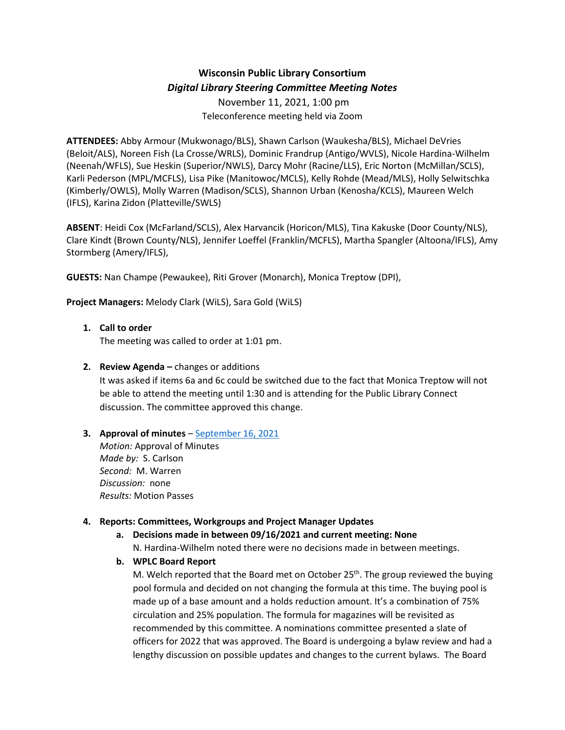# **Wisconsin Public Library Consortium** *Digital Library Steering Committee Meeting Notes*

November 11, 2021, 1:00 pm Teleconference meeting held via Zoom

**ATTENDEES:** Abby Armour (Mukwonago/BLS), Shawn Carlson (Waukesha/BLS), Michael DeVries (Beloit/ALS), Noreen Fish (La Crosse/WRLS), Dominic Frandrup (Antigo/WVLS), Nicole Hardina-Wilhelm (Neenah/WFLS), Sue Heskin (Superior/NWLS), Darcy Mohr (Racine/LLS), Eric Norton (McMillan/SCLS), Karli Pederson (MPL/MCFLS), Lisa Pike (Manitowoc/MCLS), Kelly Rohde (Mead/MLS), Holly Selwitschka (Kimberly/OWLS), Molly Warren (Madison/SCLS), Shannon Urban (Kenosha/KCLS), Maureen Welch (IFLS), Karina Zidon (Platteville/SWLS)

**ABSENT**: Heidi Cox (McFarland/SCLS), Alex Harvancik (Horicon/MLS), Tina Kakuske (Door County/NLS), Clare Kindt (Brown County/NLS), Jennifer Loeffel (Franklin/MCFLS), Martha Spangler (Altoona/IFLS), Amy Stormberg (Amery/IFLS),

**GUESTS:** Nan Champe (Pewaukee), Riti Grover (Monarch), Monica Treptow (DPI),

**Project Managers:** Melody Clark (WiLS), Sara Gold (WiLS)

### **1. Call to order**

The meeting was called to order at 1:01 pm.

**2. Review Agenda –** changes or additions

It was asked if items 6a and 6c could be switched due to the fact that Monica Treptow will not be able to attend the meeting until 1:30 and is attending for the Public Library Connect discussion. The committee approved this change.

## **3. Approval of minutes** – [September 16, 2021](https://wplc.info/sites/wplc.info/files/09-16-2021%20WPLC%20Steering%20Notes.pdf)

*Motion:* Approval of Minutes *Made by:* S. Carlson *Second:* M. Warren *Discussion:* none *Results:* Motion Passes

## **4. Reports: Committees, Workgroups and Project Manager Updates**

- **a. Decisions made in between 09/16/2021 and current meeting: None** N. Hardina-Wilhelm noted there were no decisions made in between meetings.
- **b. WPLC Board Report**

M. Welch reported that the Board met on October 25<sup>th</sup>. The group reviewed the buying pool formula and decided on not changing the formula at this time. The buying pool is made up of a base amount and a holds reduction amount. It's a combination of 75% circulation and 25% population. The formula for magazines will be revisited as recommended by this committee. A nominations committee presented a slate of officers for 2022 that was approved. The Board is undergoing a bylaw review and had a lengthy discussion on possible updates and changes to the current bylaws. The Board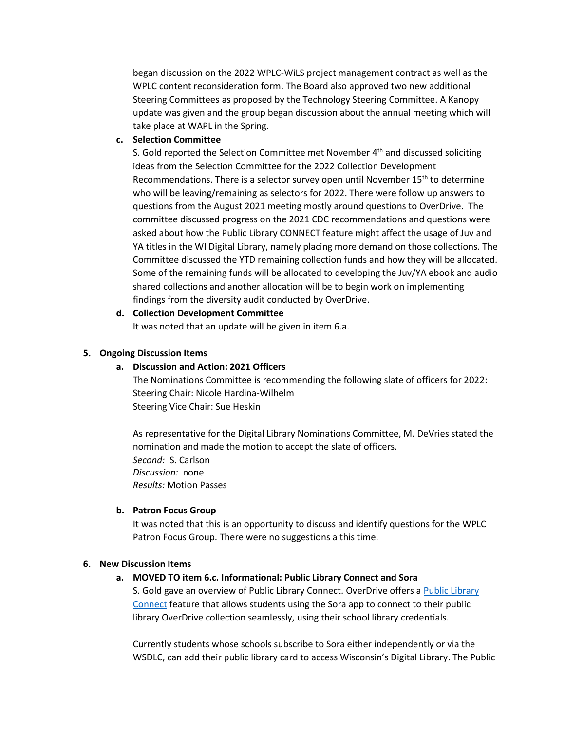began discussion on the 2022 WPLC-WiLS project management contract as well as the WPLC content reconsideration form. The Board also approved two new additional Steering Committees as proposed by the Technology Steering Committee. A Kanopy update was given and the group began discussion about the annual meeting which will take place at WAPL in the Spring.

#### **c. Selection Committee**

S. Gold reported the Selection Committee met November 4<sup>th</sup> and discussed soliciting ideas from the Selection Committee for the 2022 Collection Development Recommendations. There is a selector survey open until November 15<sup>th</sup> to determine who will be leaving/remaining as selectors for 2022. There were follow up answers to questions from the August 2021 meeting mostly around questions to OverDrive. The committee discussed progress on the 2021 CDC recommendations and questions were asked about how the Public Library CONNECT feature might affect the usage of Juv and YA titles in the WI Digital Library, namely placing more demand on those collections. The Committee discussed the YTD remaining collection funds and how they will be allocated. Some of the remaining funds will be allocated to developing the Juv/YA ebook and audio shared collections and another allocation will be to begin work on implementing findings from the diversity audit conducted by OverDrive.

### **d. Collection Development Committee**

It was noted that an update will be given in item 6.a.

### **5. Ongoing Discussion Items**

### **a. Discussion and Action: 2021 Officers**

The Nominations Committee is recommending the following slate of officers for 2022: Steering Chair: Nicole Hardina-Wilhelm Steering Vice Chair: Sue Heskin

As representative for the Digital Library Nominations Committee, M. DeVries stated the nomination and made the motion to accept the slate of officers. *Second:* S. Carlson *Discussion:* none *Results:* Motion Passes

### **b. Patron Focus Group**

It was noted that this is an opportunity to discuss and identify questions for the WPLC Patron Focus Group. There were no suggestions a this time.

### **6. New Discussion Items**

### **a. MOVED TO item 6.c. Informational: Public Library Connect and Sora**

S. Gold gave an overview of Public Library Connect. OverDrive offers a [Public Library](https://3.basecamp.com/3592820/buckets/10985072/uploads/4321289326)  [Connect](https://3.basecamp.com/3592820/buckets/10985072/uploads/4321289326) feature that allows students using the Sora app to connect to their public library OverDrive collection seamlessly, using their school library credentials.

Currently students whose schools subscribe to Sora either independently or via the WSDLC, can add their public library card to access Wisconsin's Digital Library. The Public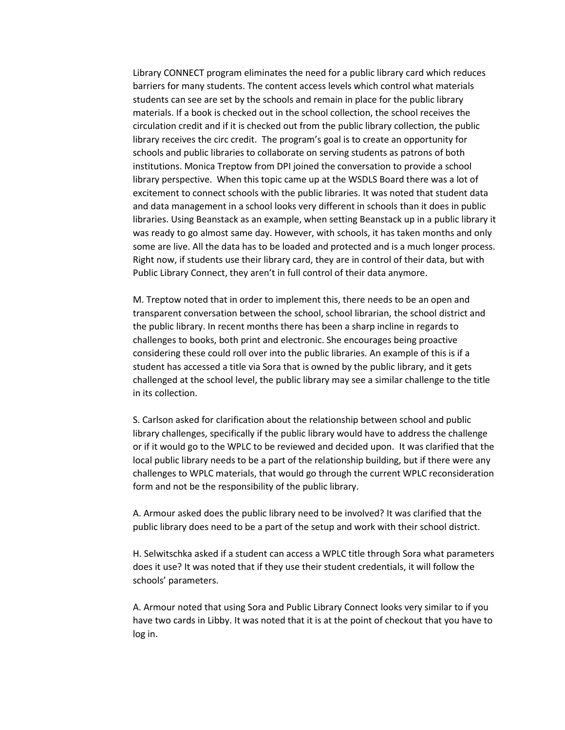Library CONNECT program eliminates the need for a public library card which reduces barriers for many students. The content access levels which control what materials students can see are set by the schools and remain in place for the public library materials. If a book is checked out in the school collection, the school receives the circulation credit and if it is checked out from the public library collection, the public library receives the circ credit. The program's goal is to create an opportunity for schools and public libraries to collaborate on serving students as patrons of both institutions. Monica Treptow from DPI joined the conversation to provide a school library perspective. When this topic came up at the WSDLS Board there was a lot of excitement to connect schools with the public libraries. It was noted that student data and data management in a school looks very different in schools than it does in public libraries. Using Beanstack as an example, when setting Beanstack up in a public library it was ready to go almost same day. However, with schools, it has taken months and only some are live. All the data has to be loaded and protected and is a much longer process. Right now, if students use their library card, they are in control of their data, but with Public Library Connect, they aren't in full control of their data anymore.

M. Treptow noted that in order to implement this, there needs to be an open and transparent conversation between the school, school librarian, the school district and the public library. In recent months there has been a sharp incline in regards to challenges to books, both print and electronic. She encourages being proactive considering these could roll over into the public libraries. An example of this is if a student has accessed a title via Sora that is owned by the public library, and it gets challenged at the school level, the public library may see a similar challenge to the title in its collection.

S. Carlson asked for clarification about the relationship between school and public library challenges, specifically if the public library would have to address the challenge or if it would go to the WPLC to be reviewed and decided upon. It was clarified that the local public library needs to be a part of the relationship building, but if there were any challenges to WPLC materials, that would go through the current WPLC reconsideration form and not be the responsibility of the public library.

A. Armour asked does the public library need to be involved? It was clarified that the public library does need to be a part of the setup and work with their school district.

H. Selwitschka asked if a student can access a WPLC title through Sora what parameters does it use? It was noted that if they use their student credentials, it will follow the schools' parameters.

A. Armour noted that using Sora and Public Library Connect looks very similar to if you have two cards in Libby. It was noted that it is at the point of checkout that you have to log in.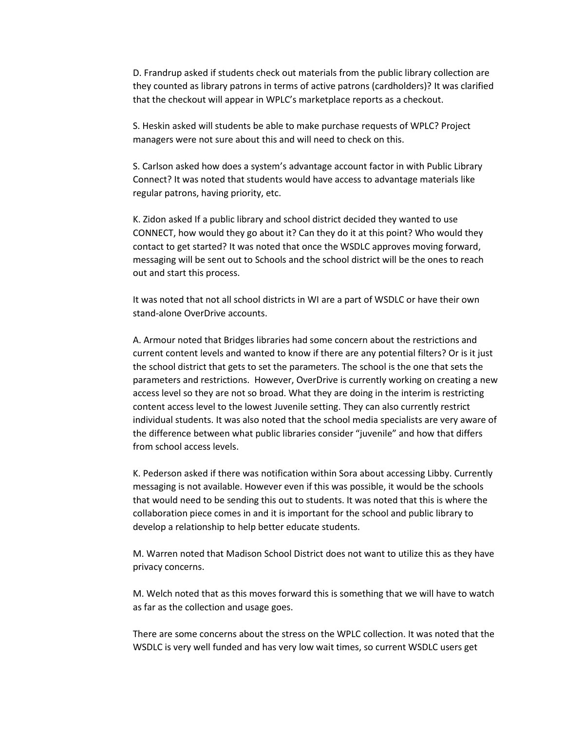D. Frandrup asked if students check out materials from the public library collection are they counted as library patrons in terms of active patrons (cardholders)? It was clarified that the checkout will appear in WPLC's marketplace reports as a checkout.

S. Heskin asked will students be able to make purchase requests of WPLC? Project managers were not sure about this and will need to check on this.

S. Carlson asked how does a system's advantage account factor in with Public Library Connect? It was noted that students would have access to advantage materials like regular patrons, having priority, etc.

K. Zidon asked If a public library and school district decided they wanted to use CONNECT, how would they go about it? Can they do it at this point? Who would they contact to get started? It was noted that once the WSDLC approves moving forward, messaging will be sent out to Schools and the school district will be the ones to reach out and start this process.

It was noted that not all school districts in WI are a part of WSDLC or have their own stand-alone OverDrive accounts.

A. Armour noted that Bridges libraries had some concern about the restrictions and current content levels and wanted to know if there are any potential filters? Or is it just the school district that gets to set the parameters. The school is the one that sets the parameters and restrictions. However, OverDrive is currently working on creating a new access level so they are not so broad. What they are doing in the interim is restricting content access level to the lowest Juvenile setting. They can also currently restrict individual students. It was also noted that the school media specialists are very aware of the difference between what public libraries consider "juvenile" and how that differs from school access levels.

K. Pederson asked if there was notification within Sora about accessing Libby. Currently messaging is not available. However even if this was possible, it would be the schools that would need to be sending this out to students. It was noted that this is where the collaboration piece comes in and it is important for the school and public library to develop a relationship to help better educate students.

M. Warren noted that Madison School District does not want to utilize this as they have privacy concerns.

M. Welch noted that as this moves forward this is something that we will have to watch as far as the collection and usage goes.

There are some concerns about the stress on the WPLC collection. It was noted that the WSDLC is very well funded and has very low wait times, so current WSDLC users get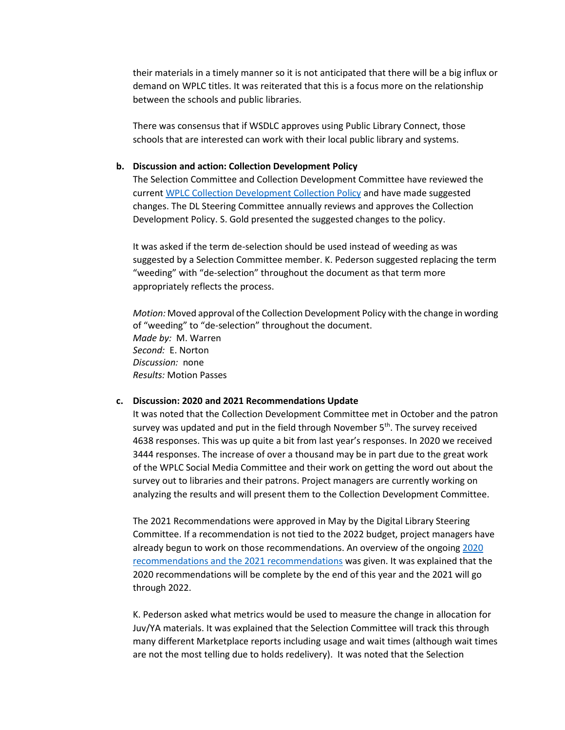their materials in a timely manner so it is not anticipated that there will be a big influx or demand on WPLC titles. It was reiterated that this is a focus more on the relationship between the schools and public libraries.

There was consensus that if WSDLC approves using Public Library Connect, those schools that are interested can work with their local public library and systems.

#### **b. Discussion and action: Collection Development Policy**

The Selection Committee and Collection Development Committee have reviewed the curren[t WPLC Collection Development Collection Policy](https://3.basecamp.com/3592820/buckets/10985072/uploads/4321285835) and have made suggested changes. The DL Steering Committee annually reviews and approves the Collection Development Policy. S. Gold presented the suggested changes to the policy.

It was asked if the term de-selection should be used instead of weeding as was suggested by a Selection Committee member. K. Pederson suggested replacing the term "weeding" with "de-selection" throughout the document as that term more appropriately reflects the process.

*Motion:* Moved approval of the Collection Development Policy with the change in wording of "weeding" to "de-selection" throughout the document. *Made by:* M. Warren *Second:* E. Norton *Discussion:* none *Results:* Motion Passes

#### **c. Discussion: 2020 and 2021 Recommendations Update**

It was noted that the Collection Development Committee met in October and the patron survey was updated and put in the field through November  $5<sup>th</sup>$ . The survey received 4638 responses. This was up quite a bit from last year's responses. In 2020 we received 3444 responses. The increase of over a thousand may be in part due to the great work of the WPLC Social Media Committee and their work on getting the word out about the survey out to libraries and their patrons. Project managers are currently working on analyzing the results and will present them to the Collection Development Committee.

The 2021 Recommendations were approved in May by the Digital Library Steering Committee. If a recommendation is not tied to the 2022 budget, project managers have already begun to work on those recommendations. An overview of the ongoin[g 2020](https://3.basecamp.com/3592820/buckets/10985072/uploads/4322020638)  [recommendations and the 2021 recommendations](https://3.basecamp.com/3592820/buckets/10985072/uploads/4322020638) was given. It was explained that the 2020 recommendations will be complete by the end of this year and the 2021 will go through 2022.

K. Pederson asked what metrics would be used to measure the change in allocation for Juv/YA materials. It was explained that the Selection Committee will track this through many different Marketplace reports including usage and wait times (although wait times are not the most telling due to holds redelivery). It was noted that the Selection